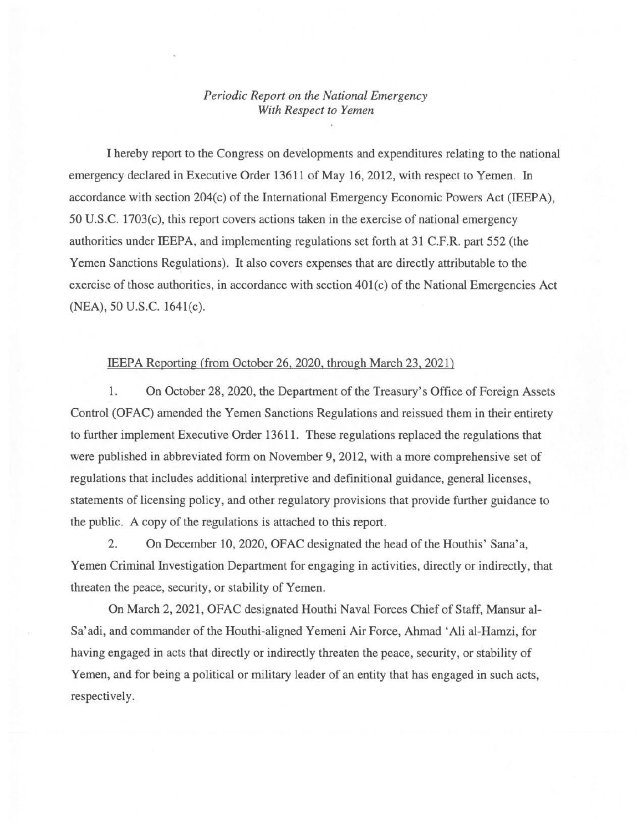## *Periodic Report on the National Emergency With Respect to Yemen*

I hereby report to the Congress on developments and expenditures relating to the national emergency declared in Executive Order 13611 of May 16, 2012, with respect to Yemen. In accordance with section 204(c) of the International Emergency Economic Powers Act (IEEPA),  $50$  U.S.C. 1703(c), this report covers actions taken in the exercise of national emergency authorities under IEEPA, and implementing regulations set forth at 31 C.F.R. part 552 (the Yemen Sanctions Regulations). It also covers expenses that are directly attributable to the exercise of those authorities, in accordance with section 401(c) of the National Emergencies Act (NEA), 50 U.S.C. 1641(c).

## IEEPA Reporting (from October 26, 2020, through March 23, 2021)

1. On October 28, 2020, the Department of the Treasury's Office of Foreign Assets Control (OFAC) amended the Yemen Sanctions Regulations and reissued them in their entirety to further implement Executive Order 13611. These regulations replaced the regulations that were published in abbreviated form on November 9, 2012, with a more comprehensive set of regulations that includes additional interpretive and definitional guidance, general licenses, statements of licensing policy, and other regulatory provisions that provide further guidance to the public. A copy of the regulations is attached to this report.

2. On December 10, 2020, OFAC designated the head of the Houthis' Sana'a, Yemen Criminal Investigation Department for engaging in activities, directly or indirectly, that threaten the peace, security, or stability of Yemen.

On March 2, 2021, OFAC designated Houthi Naval Forces Chief of Staff, Mansur al-Sa' adi, and commander of the Houthi-aligned Yemeni Air Force, Ahmad 'Ali al-Hamzi, for having engaged in acts that directly or indirectly threaten the peace, security, or stability of Yemen, and for being a political or military leader of an entity that has engaged in such acts, respectively.